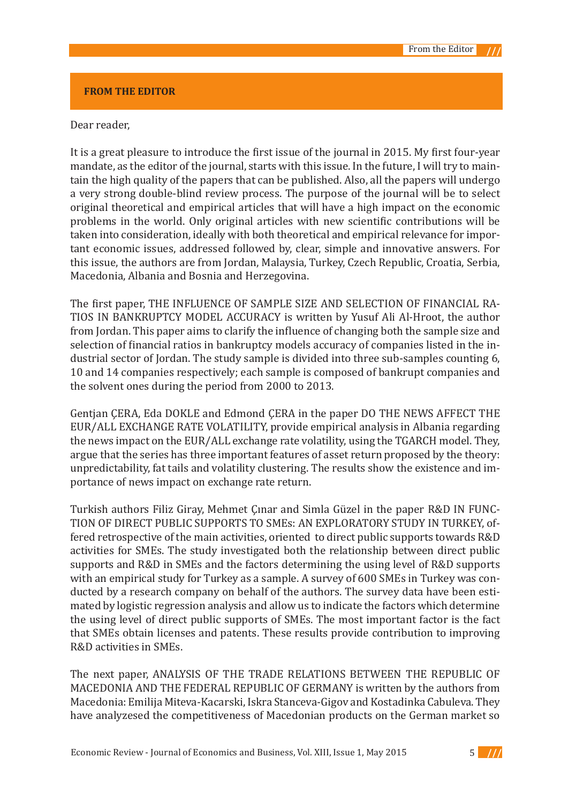## **FROM THE EDITOR**

## Dear reader,

It is a great pleasure to introduce the first issue of the journal in 2015. My first four-year mandate, as the editor of the journal, starts with this issue. In the future, I will try to maintain the high quality of the papers that can be published. Also, all the papers will undergo a very strong double-blind review process. The purpose of the journal will be to select original theoretical and empirical articles that will have a high impact on the economic problems in the world. Only original articles with new scientific contributions will be taken into consideration, ideally with both theoretical and empirical relevance for important economic issues, addressed followed by, clear, simple and innovative answers. For this issue, the authors are from Jordan, Malaysia, Turkey, Czech Republic, Croatia, Serbia, Macedonia, Albania and Bosnia and Herzegovina.

The first paper, THE INFLUENCE OF SAMPLE SIZE AND SELECTION OF FINANCIAL RA-TIOS IN BANKRUPTCY MODEL ACCURACY is written by Yusuf Ali Al-Hroot, the author from Jordan. This paper aims to clarify the influence of changing both the sample size and selection of financial ratios in bankruptcy models accuracy of companies listed in the industrial sector of Jordan. The study sample is divided into three sub-samples counting 6, 10 and 14 companies respectively; each sample is composed of bankrupt companies and the solvent ones during the period from 2000 to 2013.

Gentjan ÇERA, Eda DOKLE and Edmond ÇERA in the paper DO THE NEWS AFFECT THE EUR/ALL EXCHANGE RATE VOLATILITY, provide empirical analysis in Albania regarding the news impact on the EUR/ALL exchange rate volatility, using the TGARCH model. They, argue that the series has three important features of asset return proposed by the theory: unpredictability, fat tails and volatility clustering. The results show the existence and importance of news impact on exchange rate return.

Turkish authors Filiz Giray, Mehmet Çınar and Simla Güzel in the paper R&D IN FUNC-TION OF DIRECT PUBLIC SUPPORTS TO SMEs: AN EXPLORATORY STUDY IN TURKEY, offered retrospective of the main activities, oriented to direct public supports towards R&D activities for SMEs. The study investigated both the relationship between direct public supports and R&D in SMEs and the factors determining the using level of R&D supports with an empirical study for Turkey as a sample. A survey of 600 SMEs in Turkey was conducted by a research company on behalf of the authors. The survey data have been estimated by logistic regression analysis and allow us to indicate the factors which determine the using level of direct public supports of SMEs. The most important factor is the fact that SMEs obtain licenses and patents. These results provide contribution to improving R&D activities in SMEs.

The next paper, ANALYSIS OF THE TRADE RELATIONS BETWEEN THE REPUBLIC OF MACEDONIA AND THE FEDERAL REPUBLIC OF GERMANY is written by the authors from Macedonia: Emilija Miteva-Kacarski, Iskra Stanceva-Gigov and Kostadinka Cabuleva. They have analyzesed the competitiveness of Macedonian products on the German market so